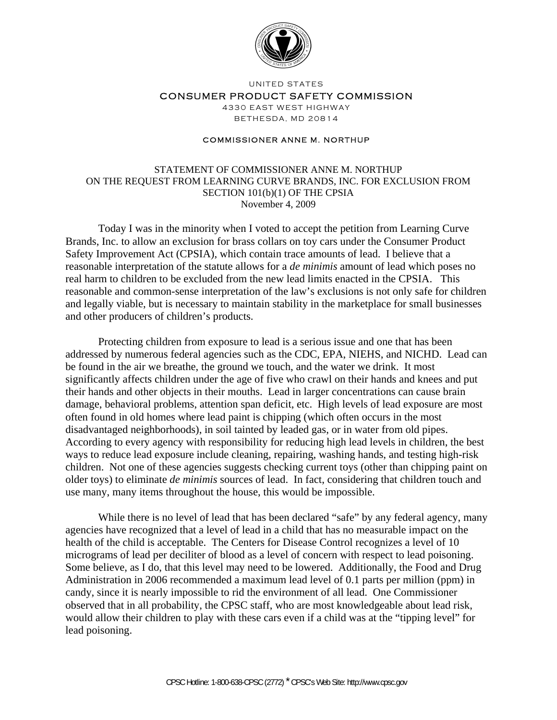

UNITED STATES

CONSUMER PRODUCT SAFETY COMMISSION

4330 EAST WEST HIGHWAY BETHESDA, MD 20814

## COMMISSIONER ANNE M. NORTHUP

STATEMENT OF COMMISSIONER ANNE M. NORTHUP ON THE REQUEST FROM LEARNING CURVE BRANDS, INC. FOR EXCLUSION FROM SECTION 101(b)(1) OF THE CPSIA November 4, 2009

Today I was in the minority when I voted to accept the petition from Learning Curve Brands, Inc. to allow an exclusion for brass collars on toy cars under the Consumer Product Safety Improvement Act (CPSIA), which contain trace amounts of lead. I believe that a reasonable interpretation of the statute allows for a *de minimis* amount of lead which poses no real harm to children to be excluded from the new lead limits enacted in the CPSIA. This reasonable and common-sense interpretation of the law's exclusions is not only safe for children and legally viable, but is necessary to maintain stability in the marketplace for small businesses and other producers of children's products.

Protecting children from exposure to lead is a serious issue and one that has been addressed by numerous federal agencies such as the CDC, EPA, NIEHS, and NICHD. Lead can be found in the air we breathe, the ground we touch, and the water we drink. It most significantly affects children under the age of five who crawl on their hands and knees and put their hands and other objects in their mouths. Lead in larger concentrations can cause brain damage, behavioral problems, attention span deficit, etc. High levels of lead exposure are most often found in old homes where lead paint is chipping (which often occurs in the most disadvantaged neighborhoods), in soil tainted by leaded gas, or in water from old pipes. According to every agency with responsibility for reducing high lead levels in children, the best ways to reduce lead exposure include cleaning, repairing, washing hands, and testing high-risk children. Not one of these agencies suggests checking current toys (other than chipping paint on older toys) to eliminate *de minimis* sources of lead. In fact, considering that children touch and use many, many items throughout the house, this would be impossible.

While there is no level of lead that has been declared "safe" by any federal agency, many agencies have recognized that a level of lead in a child that has no measurable impact on the health of the child is acceptable. The Centers for Disease Control recognizes a level of 10 micrograms of lead per deciliter of blood as a level of concern with respect to lead poisoning. Some believe, as I do, that this level may need to be lowered. Additionally, the Food and Drug Administration in 2006 recommended a maximum lead level of 0.1 parts per million (ppm) in candy, since it is nearly impossible to rid the environment of all lead. One Commissioner observed that in all probability, the CPSC staff, who are most knowledgeable about lead risk, would allow their children to play with these cars even if a child was at the "tipping level" for lead poisoning.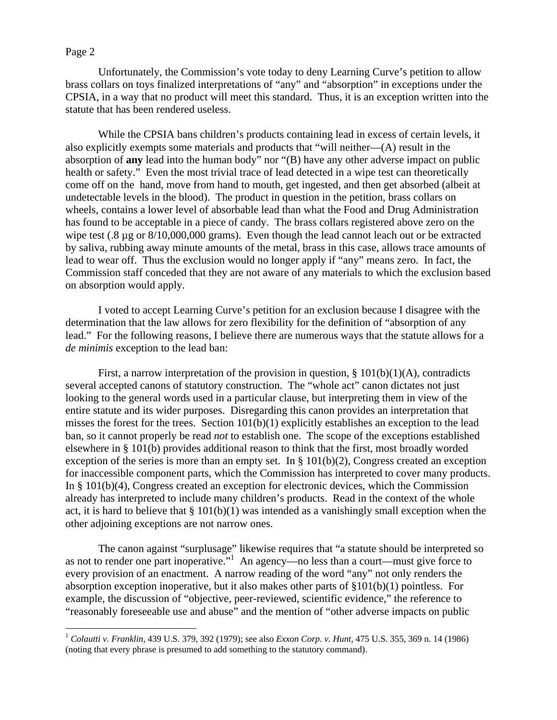## Page 2

 $\overline{a}$ 

Unfortunately, the Commission's vote today to deny Learning Curve's petition to allow brass collars on toys finalized interpretations of "any" and "absorption" in exceptions under the CPSIA, in a way that no product will meet this standard. Thus, it is an exception written into the statute that has been rendered useless.

While the CPSIA bans children's products containing lead in excess of certain levels, it also explicitly exempts some materials and products that "will neither—(A) result in the absorption of **any** lead into the human body" nor "(B) have any other adverse impact on public health or safety." Even the most trivial trace of lead detected in a wipe test can theoretically come off on the hand, move from hand to mouth, get ingested, and then get absorbed (albeit at undetectable levels in the blood). The product in question in the petition, brass collars on wheels, contains a lower level of absorbable lead than what the Food and Drug Administration has found to be acceptable in a piece of candy. The brass collars registered above zero on the wipe test (.8 µg or 8/10,000,000 grams). Even though the lead cannot leach out or be extracted by saliva, rubbing away minute amounts of the metal, brass in this case, allows trace amounts of lead to wear off. Thus the exclusion would no longer apply if "any" means zero. In fact, the Commission staff conceded that they are not aware of any materials to which the exclusion based on absorption would apply.

I voted to accept Learning Curve's petition for an exclusion because I disagree with the determination that the law allows for zero flexibility for the definition of "absorption of any lead." For the following reasons, I believe there are numerous ways that the statute allows for a *de minimis* exception to the lead ban:

First, a narrow interpretation of the provision in question,  $\S 101(b)(1)(A)$ , contradicts several accepted canons of statutory construction. The "whole act" canon dictates not just looking to the general words used in a particular clause, but interpreting them in view of the entire statute and its wider purposes. Disregarding this canon provides an interpretation that misses the forest for the trees. Section 101(b)(1) explicitly establishes an exception to the lead ban, so it cannot properly be read *not* to establish one. The scope of the exceptions established elsewhere in § 101(b) provides additional reason to think that the first, most broadly worded exception of the series is more than an empty set. In § 101(b)(2), Congress created an exception for inaccessible component parts, which the Commission has interpreted to cover many products. In § 101(b)(4), Congress created an exception for electronic devices, which the Commission already has interpreted to include many children's products. Read in the context of the whole act, it is hard to believe that  $\S 101(b)(1)$  was intended as a vanishingly small exception when the other adjoining exceptions are not narrow ones.

The canon against "surplusage" likewise requires that "a statute should be interpreted so as not to render one part inoperative."<sup>1</sup> An agency—no less than a court—must give force to every provision of an enactment. A narrow reading of the word "any" not only renders the absorption exception inoperative, but it also makes other parts of §101(b)(1) pointless. For example, the discussion of "objective, peer-reviewed, scientific evidence," the reference to "reasonably foreseeable use and abuse" and the mention of "other adverse impacts on public

<sup>1</sup> *Colautti v. Franklin*, 439 U.S. 379, 392 (1979); see also *Exxon Corp. v. Hunt*, 475 U.S. 355, 369 n. 14 (1986) (noting that every phrase is presumed to add something to the statutory command).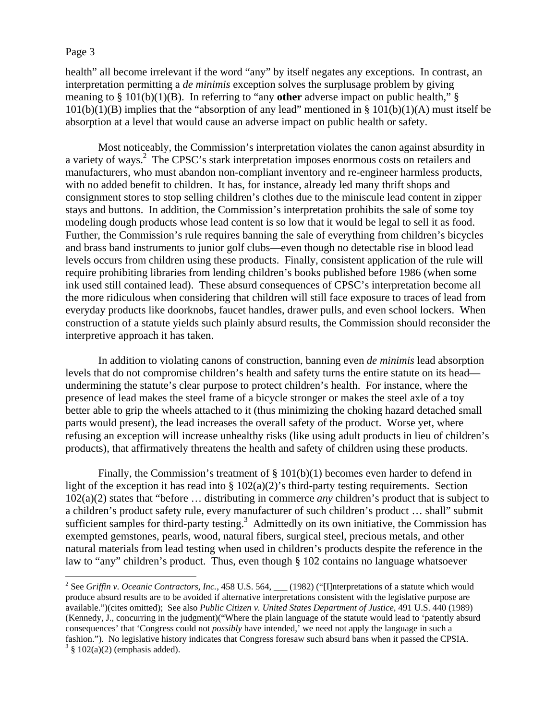## Page 3

 $\overline{a}$ 

health" all become irrelevant if the word "any" by itself negates any exceptions. In contrast, an interpretation permitting a *de minimis* exception solves the surplusage problem by giving meaning to § 101(b)(1)(B). In referring to "any **other** adverse impact on public health," §  $101(b)(1)(B)$  implies that the "absorption of any lead" mentioned in §  $101(b)(1)(A)$  must itself be absorption at a level that would cause an adverse impact on public health or safety.

Most noticeably, the Commission's interpretation violates the canon against absurdity in a variety of ways.<sup>2</sup> The CPSC's stark interpretation imposes enormous costs on retailers and manufacturers, who must abandon non-compliant inventory and re-engineer harmless products, with no added benefit to children. It has, for instance, already led many thrift shops and consignment stores to stop selling children's clothes due to the miniscule lead content in zipper stays and buttons. In addition, the Commission's interpretation prohibits the sale of some toy modeling dough products whose lead content is so low that it would be legal to sell it as food. Further, the Commission's rule requires banning the sale of everything from children's bicycles and brass band instruments to junior golf clubs—even though no detectable rise in blood lead levels occurs from children using these products. Finally, consistent application of the rule will require prohibiting libraries from lending children's books published before 1986 (when some ink used still contained lead). These absurd consequences of CPSC's interpretation become all the more ridiculous when considering that children will still face exposure to traces of lead from everyday products like doorknobs, faucet handles, drawer pulls, and even school lockers. When construction of a statute yields such plainly absurd results, the Commission should reconsider the interpretive approach it has taken.

In addition to violating canons of construction, banning even *de minimis* lead absorption levels that do not compromise children's health and safety turns the entire statute on its head undermining the statute's clear purpose to protect children's health. For instance, where the presence of lead makes the steel frame of a bicycle stronger or makes the steel axle of a toy better able to grip the wheels attached to it (thus minimizing the choking hazard detached small parts would present), the lead increases the overall safety of the product. Worse yet, where refusing an exception will increase unhealthy risks (like using adult products in lieu of children's products), that affirmatively threatens the health and safety of children using these products.

Finally, the Commission's treatment of  $\S$  101(b)(1) becomes even harder to defend in light of the exception it has read into  $\S 102(a)(2)$ 's third-party testing requirements. Section 102(a)(2) states that "before … distributing in commerce *any* children's product that is subject to a children's product safety rule, every manufacturer of such children's product … shall" submit sufficient samples for third-party testing. $3$  Admittedly on its own initiative, the Commission has exempted gemstones, pearls, wood, natural fibers, surgical steel, precious metals, and other natural materials from lead testing when used in children's products despite the reference in the law to "any" children's product. Thus, even though § 102 contains no language whatsoever

<sup>&</sup>lt;sup>2</sup> See *Griffin v. Oceanic Contractors, Inc.*, 458 U.S. 564, <sub>\_\_\_</sub> (1982) ("[I]nterpretations of a statute which would produce absurd results are to be avoided if alternative interpretations consistent with the legislative purpose are available.")(cites omitted); See also *Public Citizen v. United States Department of Justice*, 491 U.S. 440 (1989) (Kennedy, J., concurring in the judgment)("Where the plain language of the statute would lead to 'patently absurd consequences' that 'Congress could not *possibly* have intended,' we need not apply the language in such a fashion."). No legislative history indicates that Congress foresaw such absurd bans when it passed the CPSIA.  $3 \S 102(a)(2)$  (emphasis added).